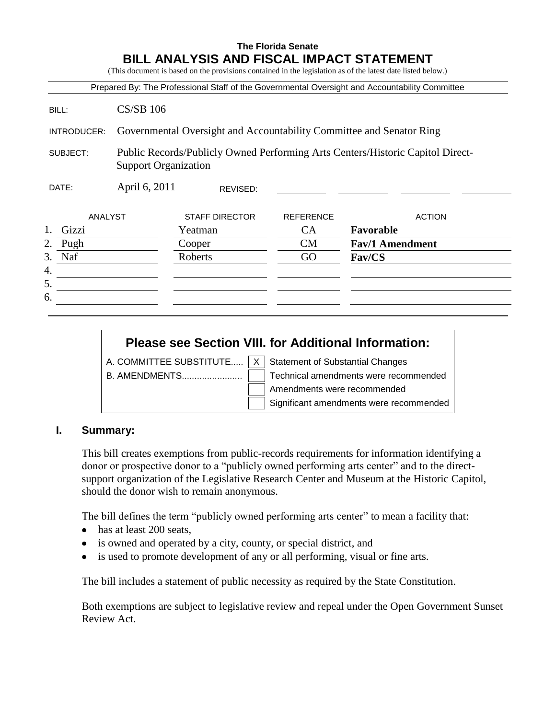# **The Florida Senate BILL ANALYSIS AND FISCAL IMPACT STATEMENT**

(This document is based on the provisions contained in the legislation as of the latest date listed below.)

|                        |                                                                      |                       |                  | Prepared By: The Professional Staff of the Governmental Oversight and Accountability Committee |  |  |
|------------------------|----------------------------------------------------------------------|-----------------------|------------------|------------------------------------------------------------------------------------------------|--|--|
| BILL:                  | $CS/SB$ 106                                                          |                       |                  |                                                                                                |  |  |
| INTRODUCER:            | Governmental Oversight and Accountability Committee and Senator Ring |                       |                  |                                                                                                |  |  |
| SUBJECT:               | <b>Support Organization</b>                                          |                       |                  | Public Records/Publicly Owned Performing Arts Centers/Historic Capitol Direct-                 |  |  |
| April 6, 2011<br>DATE: |                                                                      | REVISED:              |                  |                                                                                                |  |  |
| ANALYST                |                                                                      | <b>STAFF DIRECTOR</b> | <b>REFERENCE</b> | <b>ACTION</b>                                                                                  |  |  |
|                        |                                                                      |                       |                  |                                                                                                |  |  |
| Gizzi                  |                                                                      | Yeatman               | <b>CA</b>        | Favorable                                                                                      |  |  |
| 2.<br>Pugh             |                                                                      | Cooper                | <b>CM</b>        | <b>Fav/1 Amendment</b>                                                                         |  |  |
| Naf<br>3.              |                                                                      | Roberts               | GO               | <b>Fav/CS</b>                                                                                  |  |  |
|                        |                                                                      |                       |                  |                                                                                                |  |  |
| 4.<br>5.               |                                                                      |                       |                  |                                                                                                |  |  |

# **Please see Section VIII. for Additional Information:**

A. COMMITTEE SUBSTITUTE.....  $\boxed{X}$  Statement of Substantial Changes

B. AMENDMENTS........................ Technical amendments were recommended

Amendments were recommended

Significant amendments were recommended

# **I. Summary:**

This bill creates exemptions from public-records requirements for information identifying a donor or prospective donor to a "publicly owned performing arts center" and to the directsupport organization of the Legislative Research Center and Museum at the Historic Capitol, should the donor wish to remain anonymous.

The bill defines the term "publicly owned performing arts center" to mean a facility that:

- has at least 200 seats,
- is owned and operated by a city, county, or special district, and
- is used to promote development of any or all performing, visual or fine arts.  $\bullet$

The bill includes a statement of public necessity as required by the State Constitution.

Both exemptions are subject to legislative review and repeal under the Open Government Sunset Review Act.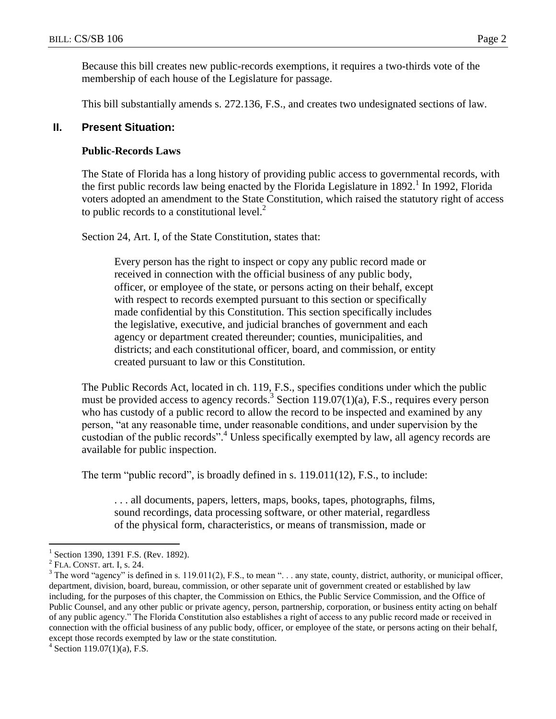Because this bill creates new public-records exemptions, it requires a two-thirds vote of the membership of each house of the Legislature for passage.

This bill substantially amends s. 272.136, F.S., and creates two undesignated sections of law.

#### **II. Present Situation:**

#### **Public-Records Laws**

The State of Florida has a long history of providing public access to governmental records, with the first public records law being enacted by the Florida Legislature in 1892.<sup>1</sup> In 1992, Florida voters adopted an amendment to the State Constitution, which raised the statutory right of access to public records to a constitutional level. $2$ 

Section 24, Art. I, of the State Constitution, states that:

Every person has the right to inspect or copy any public record made or received in connection with the official business of any public body, officer, or employee of the state, or persons acting on their behalf, except with respect to records exempted pursuant to this section or specifically made confidential by this Constitution. This section specifically includes the legislative, executive, and judicial branches of government and each agency or department created thereunder; counties, municipalities, and districts; and each constitutional officer, board, and commission, or entity created pursuant to law or this Constitution.

The Public Records Act, located in ch. 119, F.S., specifies conditions under which the public must be provided access to agency records.<sup>3</sup> Section 119.07(1)(a), F.S., requires every person who has custody of a public record to allow the record to be inspected and examined by any person, "at any reasonable time, under reasonable conditions, and under supervision by the custodian of the public records".<sup>4</sup> Unless specifically exempted by law, all agency records are available for public inspection.

The term "public record", is broadly defined in s. 119.011(12), F.S., to include:

. . . all documents, papers, letters, maps, books, tapes, photographs, films, sound recordings, data processing software, or other material, regardless of the physical form, characteristics, or means of transmission, made or

<sup>1</sup> Section 1390, 1391 F.S. (Rev. 1892).

 $<sup>2</sup>$  FLA. CONST. art. I, s. 24.</sup>

 $3$  The word "agency" is defined in s. 119.011(2), F.S., to mean "... any state, county, district, authority, or municipal officer, department, division, board, bureau, commission, or other separate unit of government created or established by law including, for the purposes of this chapter, the Commission on Ethics, the Public Service Commission, and the Office of Public Counsel, and any other public or private agency, person, partnership, corporation, or business entity acting on behalf of any public agency." The Florida Constitution also establishes a right of access to any public record made or received in connection with the official business of any public body, officer, or employee of the state, or persons acting on their behalf, except those records exempted by law or the state constitution.

 $4$  Section 119.07(1)(a), F.S.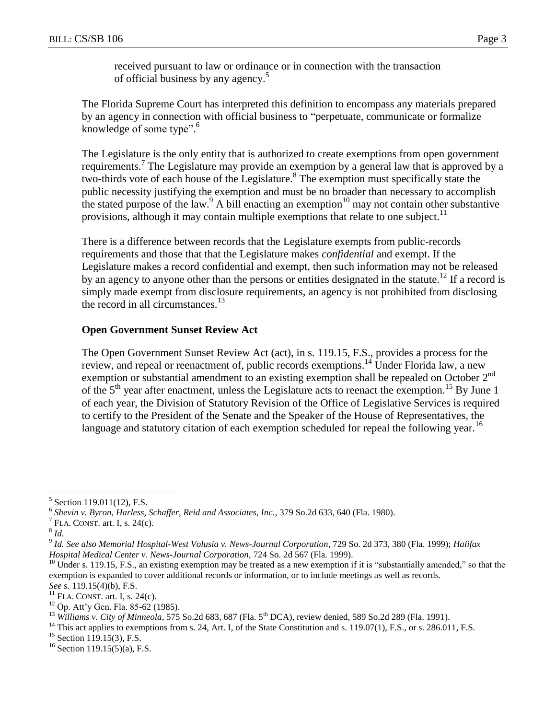received pursuant to law or ordinance or in connection with the transaction of official business by any agency.<sup>5</sup>

The Florida Supreme Court has interpreted this definition to encompass any materials prepared by an agency in connection with official business to "perpetuate, communicate or formalize knowledge of some type". 6

The Legislature is the only entity that is authorized to create exemptions from open government requirements.<sup>7</sup> The Legislature may provide an exemption by a general law that is approved by a two-thirds vote of each house of the Legislature.<sup>8</sup> The exemption must specifically state the public necessity justifying the exemption and must be no broader than necessary to accomplish the stated purpose of the law.<sup>9</sup> A bill enacting an exemption<sup>10</sup> may not contain other substantive provisions, although it may contain multiple exemptions that relate to one subject.<sup>11</sup>

There is a difference between records that the Legislature exempts from public-records requirements and those that that the Legislature makes *confidential* and exempt. If the Legislature makes a record confidential and exempt, then such information may not be released by an agency to anyone other than the persons or entities designated in the statute.<sup>12</sup> If a record is simply made exempt from disclosure requirements, an agency is not prohibited from disclosing the record in all circumstances.<sup>13</sup>

# **Open Government Sunset Review Act**

The Open Government Sunset Review Act (act), in s. 119.15, F.S., provides a process for the review, and repeal or reenactment of, public records exemptions.<sup>14</sup> Under Florida law, a new exemption or substantial amendment to an existing exemption shall be repealed on October 2<sup>nd</sup> of the  $5<sup>th</sup>$  year after enactment, unless the Legislature acts to reenact the exemption.<sup>15</sup> By June 1 of each year, the Division of Statutory Revision of the Office of Legislative Services is required to certify to the President of the Senate and the Speaker of the House of Representatives, the language and statutory citation of each exemption scheduled for repeal the following year.<sup>16</sup>

<sup>5</sup> Section 119.011(12), F.S.

<sup>&</sup>lt;sup>6</sup> Shevin v. Byron, Harless, Schaffer, Reid and Associates, Inc., 379 So.2d 633, 640 (Fla. 1980).

FLA. CONST. art. I, s. 24(c).

<sup>8</sup> *Id.*

<sup>9</sup> *Id. See also Memorial Hospital-West Volusia v. News-Journal Corporation*, 729 So. 2d 373, 380 (Fla. 1999); *Halifax Hospital Medical Center v. News-Journal Corporation*, 724 So. 2d 567 (Fla. 1999).

 $10$  Under s. 119.15, F.S., an existing exemption may be treated as a new exemption if it is "substantially amended," so that the exemption is expanded to cover additional records or information, or to include meetings as well as records. *See* s. 119.15(4)(b), F.S.

 $<sup>11</sup>$  FLA. CONST. art. I, s. 24(c).</sup>

<sup>12</sup> Op. Att'y Gen. Fla. 85-62 (1985).

<sup>&</sup>lt;sup>13</sup> *Williams v. City of Minneola*, 575 So.2d 683, 687 (Fla. 5<sup>th</sup> DCA), review denied, 589 So.2d 289 (Fla. 1991).

 $14$  This act applies to exemptions from s. 24, Art. I, of the State Constitution and s. 119.07(1), F.S., or s. 286.011, F.S.

 $15$  Section 119.15(3), F.S.

 $16$  Section 119.15(5)(a), F.S.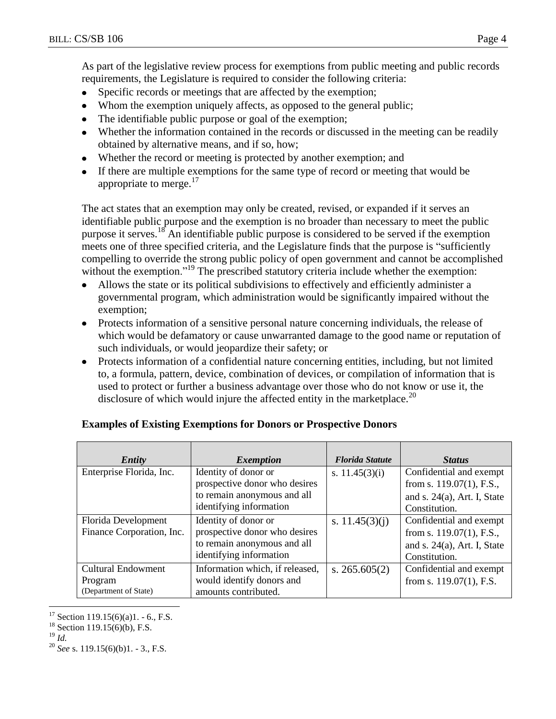As part of the legislative review process for exemptions from public meeting and public records requirements, the Legislature is required to consider the following criteria:

- $\bullet$ Specific records or meetings that are affected by the exemption;
- Whom the exemption uniquely affects, as opposed to the general public;
- The identifiable public purpose or goal of the exemption;  $\bullet$
- Whether the information contained in the records or discussed in the meeting can be readily  $\bullet$ obtained by alternative means, and if so, how;
- Whether the record or meeting is protected by another exemption; and
- If there are multiple exemptions for the same type of record or meeting that would be appropriate to merge. $17$

The act states that an exemption may only be created, revised, or expanded if it serves an identifiable public purpose and the exemption is no broader than necessary to meet the public purpose it serves.<sup>18</sup> An identifiable public purpose is considered to be served if the exemption meets one of three specified criteria, and the Legislature finds that the purpose is "sufficiently compelling to override the strong public policy of open government and cannot be accomplished without the exemption."<sup>19</sup> The prescribed statutory criteria include whether the exemption:

- Allows the state or its political subdivisions to effectively and efficiently administer a governmental program, which administration would be significantly impaired without the exemption;
- $\bullet$ Protects information of a sensitive personal nature concerning individuals, the release of which would be defamatory or cause unwarranted damage to the good name or reputation of such individuals, or would jeopardize their safety; or
- Protects information of a confidential nature concerning entities, including, but not limited to, a formula, pattern, device, combination of devices, or compilation of information that is used to protect or further a business advantage over those who do not know or use it, the disclosure of which would injure the affected entity in the marketplace.<sup>20</sup>

| Entity                                                        | <i>Exemption</i>                                                                                                | <b>Florida Statute</b> | <b>Status</b>                                                                                             |
|---------------------------------------------------------------|-----------------------------------------------------------------------------------------------------------------|------------------------|-----------------------------------------------------------------------------------------------------------|
| Enterprise Florida, Inc.                                      | Identity of donor or<br>prospective donor who desires<br>to remain anonymous and all<br>identifying information | s. $11.45(3)(i)$       | Confidential and exempt<br>from s. $119.07(1)$ , F.S.,<br>and s. $24(a)$ , Art. I, State<br>Constitution. |
| Florida Development<br>Finance Corporation, Inc.              | Identity of donor or<br>prospective donor who desires<br>to remain anonymous and all<br>identifying information | s. $11.45(3)(i)$       | Confidential and exempt<br>from s. $119.07(1)$ , F.S.,<br>and s. $24(a)$ , Art. I, State<br>Constitution. |
| <b>Cultural Endowment</b><br>Program<br>(Department of State) | Information which, if released,<br>would identify donors and<br>amounts contributed.                            | s. $265.605(2)$        | Confidential and exempt<br>from s. $119.07(1)$ , F.S.                                                     |

# **Examples of Existing Exemptions for Donors or Prospective Donors**

 $19 \overline{1d}$ 

 $17$  Section 119.15(6)(a)1. - 6., F.S.

<sup>&</sup>lt;sup>18</sup> Section 119.15(6)(b), F.S.

<sup>20</sup> *See* s. 119.15(6)(b)1. - 3., F.S.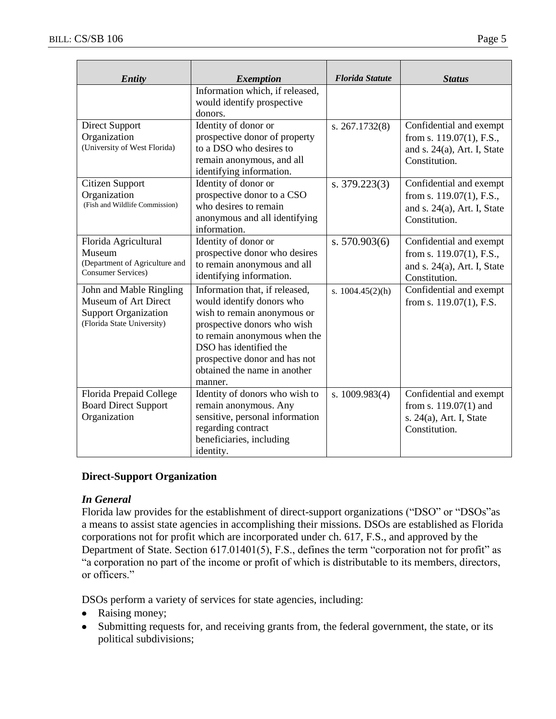| <b>Entity</b>                                                                                                | <b>Exemption</b>                                                                                                                                                                                                                                                | <b>Florida Statute</b> | <b>Status</b>                                                                                             |
|--------------------------------------------------------------------------------------------------------------|-----------------------------------------------------------------------------------------------------------------------------------------------------------------------------------------------------------------------------------------------------------------|------------------------|-----------------------------------------------------------------------------------------------------------|
|                                                                                                              | Information which, if released,<br>would identify prospective<br>donors.                                                                                                                                                                                        |                        |                                                                                                           |
| <b>Direct Support</b><br>Organization<br>(University of West Florida)                                        | Identity of donor or<br>prospective donor of property<br>to a DSO who desires to<br>remain anonymous, and all<br>identifying information.                                                                                                                       | s. 267.1732(8)         | Confidential and exempt<br>from s. $119.07(1)$ , F.S.,<br>and s. $24(a)$ , Art. I, State<br>Constitution. |
| Citizen Support<br>Organization<br>(Fish and Wildlife Commission)                                            | Identity of donor or<br>prospective donor to a CSO<br>who desires to remain<br>anonymous and all identifying<br>information.                                                                                                                                    | s. $379.223(3)$        | Confidential and exempt<br>from s. $119.07(1)$ , F.S.,<br>and s. $24(a)$ , Art. I, State<br>Constitution. |
| Florida Agricultural<br>Museum<br>(Department of Agriculture and<br><b>Consumer Services</b> )               | Identity of donor or<br>prospective donor who desires<br>to remain anonymous and all<br>identifying information.                                                                                                                                                | s. 570.903(6)          | Confidential and exempt<br>from s. 119.07(1), F.S.,<br>and s. $24(a)$ , Art. I, State<br>Constitution.    |
| John and Mable Ringling<br>Museum of Art Direct<br><b>Support Organization</b><br>(Florida State University) | Information that, if released,<br>would identify donors who<br>wish to remain anonymous or<br>prospective donors who wish<br>to remain anonymous when the<br>DSO has identified the<br>prospective donor and has not<br>obtained the name in another<br>manner. | s. $1004.45(2)(h)$     | Confidential and exempt<br>from s. $119.07(1)$ , F.S.                                                     |
| Florida Prepaid College<br><b>Board Direct Support</b><br>Organization                                       | Identity of donors who wish to<br>remain anonymous. Any<br>sensitive, personal information<br>regarding contract<br>beneficiaries, including<br>identity.                                                                                                       | s. $1009.983(4)$       | Confidential and exempt<br>from s. $119.07(1)$ and<br>s. 24(a), Art. I, State<br>Constitution.            |

# **Direct-Support Organization**

#### *In General*

Florida law provides for the establishment of direct-support organizations ("DSO" or "DSOs"as a means to assist state agencies in accomplishing their missions. DSOs are established as Florida corporations not for profit which are incorporated under ch. 617, F.S., and approved by the Department of State. Section 617.01401(5), F.S., defines the term "corporation not for profit" as "a corporation no part of the income or profit of which is distributable to its members, directors, or officers."

DSOs perform a variety of services for state agencies, including:

- Raising money;  $\bullet$
- $\bullet$ Submitting requests for, and receiving grants from, the federal government, the state, or its political subdivisions;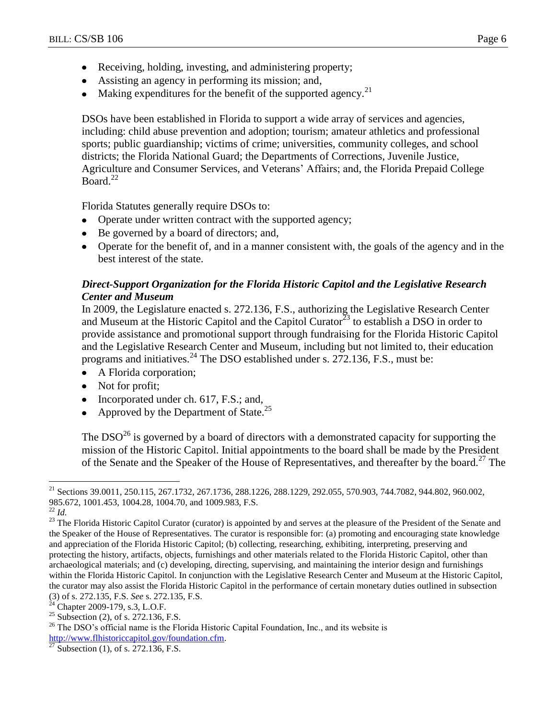- Receiving, holding, investing, and administering property;
- Assisting an agency in performing its mission; and,
- Making expenditures for the benefit of the supported agency.<sup>21</sup>

DSOs have been established in Florida to support a wide array of services and agencies, including: child abuse prevention and adoption; tourism; amateur athletics and professional sports; public guardianship; victims of crime; universities, community colleges, and school districts; the Florida National Guard; the Departments of Corrections, Juvenile Justice, Agriculture and Consumer Services, and Veterans' Affairs; and, the Florida Prepaid College Board. $^{22}$ 

Florida Statutes generally require DSOs to:

- Operate under written contract with the supported agency;
- Be governed by a board of directors; and,
- Operate for the benefit of, and in a manner consistent with, the goals of the agency and in the best interest of the state.

# *Direct-Support Organization for the Florida Historic Capitol and the Legislative Research Center and Museum*

In 2009, the Legislature enacted s. 272.136, F.S., authorizing the Legislative Research Center and Museum at the Historic Capitol and the Capitol Curator<sup>23</sup> to establish a DSO in order to provide assistance and promotional support through fundraising for the Florida Historic Capitol and the Legislative Research Center and Museum, including but not limited to, their education programs and initiatives.<sup>24</sup> The DSO established under s. 272.136, F.S., must be:

- A Florida corporation;
- Not for profit;
- Incorporated under ch. 617, F.S.; and,
- Approved by the Department of State.<sup>25</sup>

The  $DSO^{26}$  is governed by a board of directors with a demonstrated capacity for supporting the mission of the Historic Capitol. Initial appointments to the board shall be made by the President of the Senate and the Speaker of the House of Representatives, and thereafter by the board.<sup>27</sup> The

 $\overline{a}$ 

<sup>25</sup> Subsection (2), of s. 272.136, F.S.

<sup>&</sup>lt;sup>21</sup> Sections 39.0011, 250.115, 267.1732, 267.1736, 288.1226, 288.1229, 292.055, 570.903, 744.7082, 944.802, 960.002, 985.672, 1001.453, 1004.28, 1004.70, and 1009.983, F.S.

<sup>22</sup> *Id.*

<sup>&</sup>lt;sup>23</sup> The Florida Historic Capitol Curator (curator) is appointed by and serves at the pleasure of the President of the Senate and the Speaker of the House of Representatives. The curator is responsible for: (a) promoting and encouraging state knowledge and appreciation of the Florida Historic Capitol; (b) collecting, researching, exhibiting, interpreting, preserving and protecting the history, artifacts, objects, furnishings and other materials related to the Florida Historic Capitol, other than archaeological materials; and (c) developing, directing, supervising, and maintaining the interior design and furnishings within the Florida Historic Capitol. In conjunction with the Legislative Research Center and Museum at the Historic Capitol, the curator may also assist the Florida Historic Capitol in the performance of certain monetary duties outlined in subsection (3) of s. 272.135, F.S. *See* s. 272.135, F.S.

 $24$  Chapter 2009-179, s.3, L.O.F.

 $26$  The DSO's official name is the Florida Historic Capital Foundation, Inc., and its website is [http://www.flhistoriccapitol.gov/foundation.cfm.](http://www.flhistoriccapitol.gov/foundation.cfm)

Subsection (1), of s. 272.136, F.S.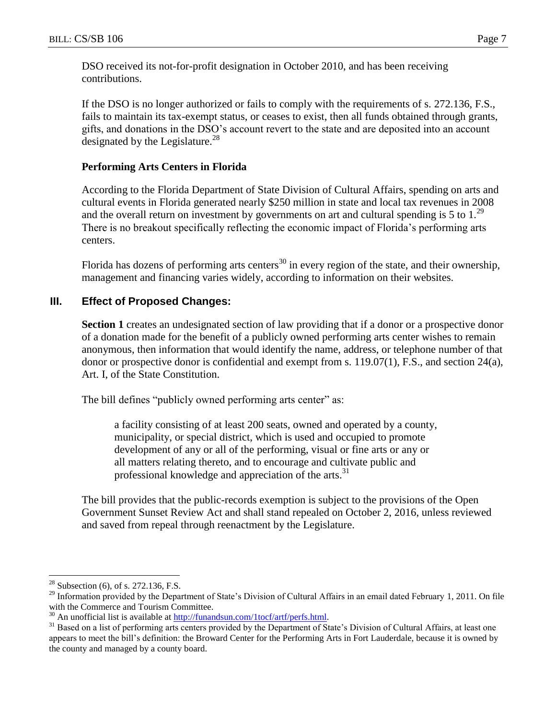DSO received its not-for-profit designation in October 2010, and has been receiving contributions.

If the DSO is no longer authorized or fails to comply with the requirements of s. 272.136, F.S., fails to maintain its tax-exempt status, or ceases to exist, then all funds obtained through grants, gifts, and donations in the DSO's account revert to the state and are deposited into an account designated by the Legislature.<sup>28</sup>

#### **Performing Arts Centers in Florida**

According to the Florida Department of State Division of Cultural Affairs, spending on arts and cultural events in Florida generated nearly \$250 million in state and local tax revenues in 2008 and the overall return on investment by governments on art and cultural spending is 5 to  $1.^{29}$ There is no breakout specifically reflecting the economic impact of Florida's performing arts centers.

Florida has dozens of performing arts centers<sup>30</sup> in every region of the state, and their ownership, management and financing varies widely, according to information on their websites.

# **III. Effect of Proposed Changes:**

**Section 1** creates an undesignated section of law providing that if a donor or a prospective donor of a donation made for the benefit of a publicly owned performing arts center wishes to remain anonymous, then information that would identify the name, address, or telephone number of that donor or prospective donor is confidential and exempt from s. 119.07(1), F.S., and section 24(a), Art. I, of the State Constitution.

The bill defines "publicly owned performing arts center" as:

a facility consisting of at least 200 seats, owned and operated by a county, municipality, or special district, which is used and occupied to promote development of any or all of the performing, visual or fine arts or any or all matters relating thereto, and to encourage and cultivate public and professional knowledge and appreciation of the arts. $31$ 

The bill provides that the public-records exemption is subject to the provisions of the Open Government Sunset Review Act and shall stand repealed on October 2, 2016, unless reviewed and saved from repeal through reenactment by the Legislature.

 $28$  Subsection (6), of s. 272.136, F.S.

<sup>&</sup>lt;sup>29</sup> Information provided by the Department of State's Division of Cultural Affairs in an email dated February 1, 2011. On file with the Commerce and Tourism Committee.

 $30$  An unofficial list is available at [http://funandsun.com/1tocf/artf/perfs.html.](http://funandsun.com/1tocf/artf/perfs.html)

<sup>&</sup>lt;sup>31</sup> Based on a list of performing arts centers provided by the Department of State's Division of Cultural Affairs, at least one appears to meet the bill's definition: the Broward Center for the Performing Arts in Fort Lauderdale, because it is owned by the county and managed by a county board.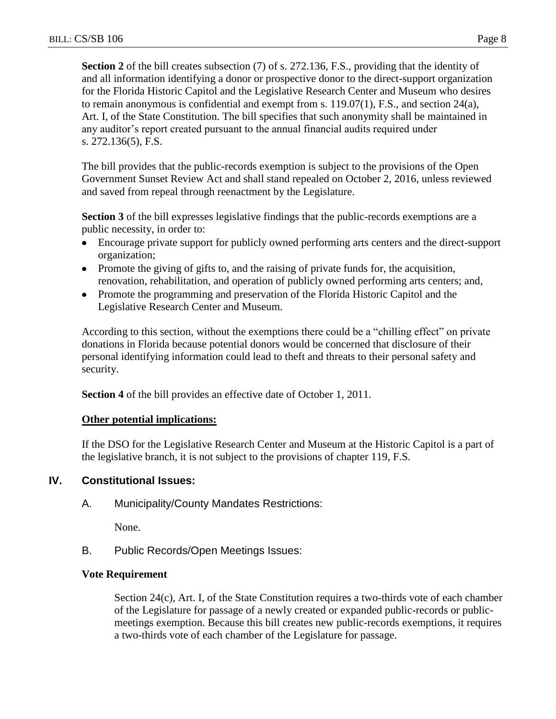**Section 2** of the bill creates subsection (7) of s. 272.136, F.S., providing that the identity of and all information identifying a donor or prospective donor to the direct-support organization for the Florida Historic Capitol and the Legislative Research Center and Museum who desires to remain anonymous is confidential and exempt from s. 119.07(1), F.S., and section 24(a), Art. I, of the State Constitution. The bill specifies that such anonymity shall be maintained in any auditor's report created pursuant to the annual financial audits required under s. 272.136(5), F.S.

The bill provides that the public-records exemption is subject to the provisions of the Open Government Sunset Review Act and shall stand repealed on October 2, 2016, unless reviewed and saved from repeal through reenactment by the Legislature.

**Section 3** of the bill expresses legislative findings that the public-records exemptions are a public necessity, in order to:

- Encourage private support for publicly owned performing arts centers and the direct-support  $\bullet$ organization;
- Promote the giving of gifts to, and the raising of private funds for, the acquisition, renovation, rehabilitation, and operation of publicly owned performing arts centers; and,
- Promote the programming and preservation of the Florida Historic Capitol and the Legislative Research Center and Museum.

According to this section, without the exemptions there could be a "chilling effect" on private donations in Florida because potential donors would be concerned that disclosure of their personal identifying information could lead to theft and threats to their personal safety and security.

**Section 4** of the bill provides an effective date of October 1, 2011.

# **Other potential implications:**

If the DSO for the Legislative Research Center and Museum at the Historic Capitol is a part of the legislative branch, it is not subject to the provisions of chapter 119, F.S.

# **IV. Constitutional Issues:**

A. Municipality/County Mandates Restrictions:

None.

B. Public Records/Open Meetings Issues:

# **Vote Requirement**

Section 24(c), Art. I, of the State Constitution requires a two-thirds vote of each chamber of the Legislature for passage of a newly created or expanded public-records or publicmeetings exemption. Because this bill creates new public-records exemptions, it requires a two-thirds vote of each chamber of the Legislature for passage.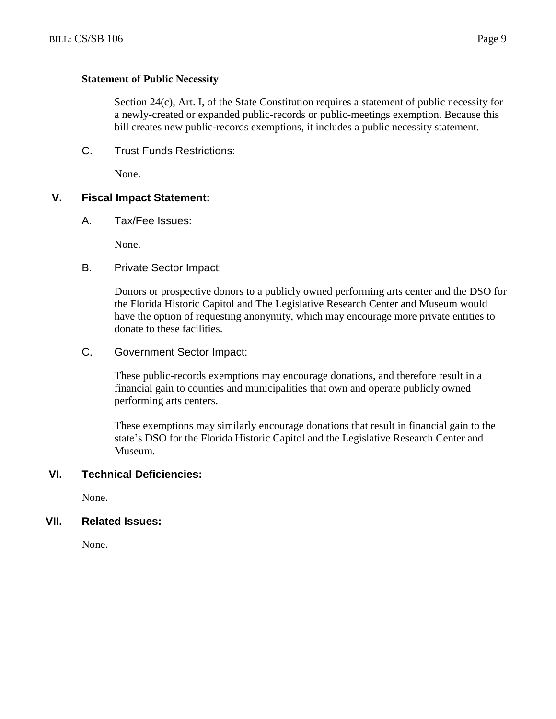#### **Statement of Public Necessity**

Section 24(c), Art. I, of the State Constitution requires a statement of public necessity for a newly-created or expanded public-records or public-meetings exemption. Because this bill creates new public-records exemptions, it includes a public necessity statement.

C. Trust Funds Restrictions:

None.

#### **V. Fiscal Impact Statement:**

A. Tax/Fee Issues:

None.

B. Private Sector Impact:

Donors or prospective donors to a publicly owned performing arts center and the DSO for the Florida Historic Capitol and The Legislative Research Center and Museum would have the option of requesting anonymity, which may encourage more private entities to donate to these facilities.

C. Government Sector Impact:

These public-records exemptions may encourage donations, and therefore result in a financial gain to counties and municipalities that own and operate publicly owned performing arts centers.

These exemptions may similarly encourage donations that result in financial gain to the state's DSO for the Florida Historic Capitol and the Legislative Research Center and Museum.

#### **VI. Technical Deficiencies:**

None.

# **VII. Related Issues:**

None.